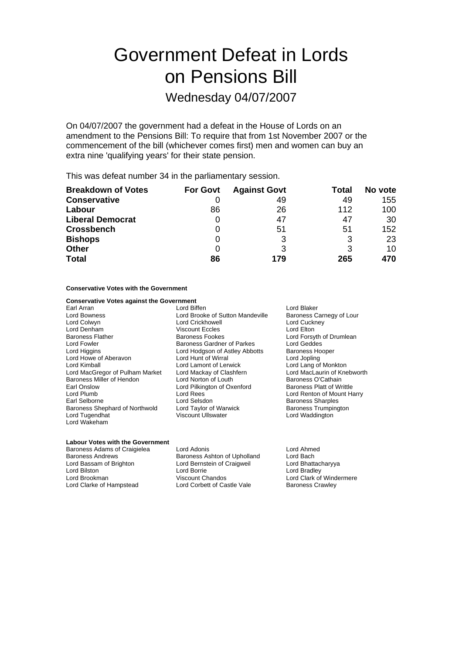# Government Defeat in Lords on Pensions Bill

## Wednesday 04/07/2007

On 04/07/2007 the government had a defeat in the House of Lords on an amendment to the Pensions Bill: To require that from 1st November 2007 or the commencement of the bill (whichever comes first) men and women can buy an extra nine 'qualifying years' for their state pension.

This was defeat number 34 in the parliamentary session.

| <b>Breakdown of Votes</b> | <b>For Govt</b> | <b>Against Govt</b> | Total | No vote |
|---------------------------|-----------------|---------------------|-------|---------|
| <b>Conservative</b>       |                 | 49                  | 49    | 155     |
| Labour                    | 86              | 26                  | 112   | 100     |
| <b>Liberal Democrat</b>   |                 | 47                  | 47    | 30      |
| <b>Crossbench</b>         |                 | 51                  | 51    | 152     |
| <b>Bishops</b>            |                 | 3                   | 3     | 23      |
| <b>Other</b>              | 0               | 3                   | 3     | 10      |
| <b>Total</b>              | 86              | 179                 | 265   | 470     |

#### **Conservative Votes with the Government**

#### **Conservative Votes against the Government**

| Earl Arran                      |
|---------------------------------|
| <b>Lord Bowness</b>             |
| Lord Colwyn                     |
| Lord Denham                     |
| <b>Baroness Flather</b>         |
| <b>Lord Fowler</b>              |
| Lord Higgins                    |
| Lord Howe of Aberavon           |
| Lord Kimball                    |
| Lord MacGregor of Pulham Market |
| Baroness Miller of Hendon       |
| Earl Onslow                     |
| Lord Plumb                      |
| Earl Selborne                   |
| Baroness Shephard of Northwold  |
| Lord Tugendhat                  |
| Lord Wakeham                    |

| Lord Biffen                      |
|----------------------------------|
| Lord Brooke of Sutton Mandeville |
| <b>Lord Crickhowell</b>          |
| <b>Viscount Eccles</b>           |
| Baroness Fookes                  |
| Baroness Gardner of Parkes       |
| Lord Hodgson of Astley Abbotts   |
| Lord Hunt of Wirral              |
| Lord Lamont of Lerwick           |
| Lord Mackay of Clashfern         |
| Lord Norton of Louth             |
| Lord Pilkington of Oxenford      |
| Lord Rees                        |
| Lord Selsdon                     |
| Lord Taylor of Warwick           |
| Viscount Ullswater               |
|                                  |

Lord Blaker Baroness Carnegy of Lour Lord Cuckney Lord Elton Lord Forsyth of Drumlean Lord Geddes Baroness Hooper Lord Jopling Lord Lang of Monkton Lord MacLaurin of Knebworth Baroness O'Cathain Baroness Platt of Writtle Lord Renton of Mount Harry Baroness Sharples Baroness Trumpington Lord Waddington

#### **Labour Votes with the Government**

Lord Clarke of Hampstead Lord Corbett of Castle Vale Baroness Crawley

Baroness Adams of Craigielea Lord Adonis<br>
Baroness Andrews Baroness Ashton of Upholland Lord Bach Baroness Ashton of Upholland Lord Bassam of Brighton Lord Bernstein of Craigweil Cord Bhattacharyya<br>
Lord Bilston Lord Borrie Cord Branchary Lord Branchary Lord Branchary Lord Branchary Lord Branchary Lord Branch Lord Bilston Lord Borrie Lord Borrie Lord Borrie Lord Bradley<br>
Lord Brookman Lord Clark of Clark of Clark of Clark of

Lord Clark of Windermere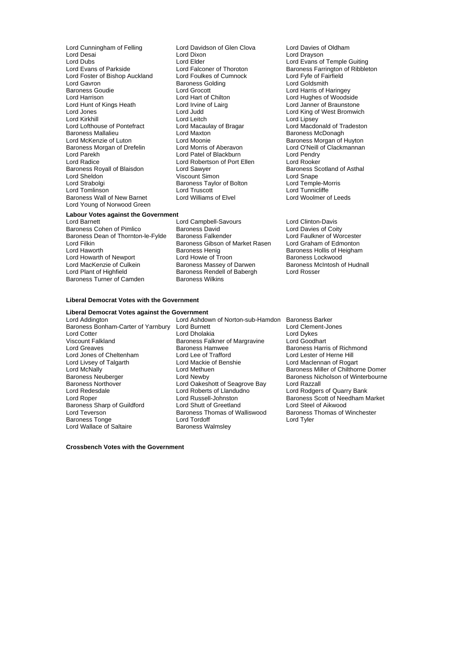Lord Cunningham of Felling Lord Davidson of Glen Clova Lord Davies of Oldham<br>
Lord Desai Lord Dixon Lord Dixon Lord Drayson Lord Desai Lord Dixon Lord Drayson Lord Dubs<br>
Lord Evans of Parkside Lord Elder Lord Elder Lord Evans of Temple Guiting<br>
Lord Evans of Parkside Lord Falconer of Thoroton Baroness Farrington of Ribblet Lord Foster of Bishop Auckland Lord Foulkes of Cumnock Lord Fyfe of Fair<br>Lord Gayron Lord Coldsmith Baroness Golding Lord Coldsmith Lord Gavron **Baroness Golding**<br>Baroness Goudie **Baroness Colding** External Control Control Control Control Control Control Control Control Control Control Control Control Control Control Control Control Control Control Control Control Control Control Control Control Control Control Contr Lord Hunt of Kings Heath Lord Irvine of Lairg Lord Lord Janner of Braunstone<br>
Lord Jones Lord Lord Judd Lord Judd Lord Cord King of West Bromwic Lord Kirkhill Lord Lord Leitch Lord Leisen Lord Lipsey<br>Lord Lord Macdo Lord Macaulay of Bragar Lord Macdo Lord Lofthouse of Pontefract Lord Macaulay of Bragar Lord Macdonald of Tradeston<br>
Baroness Mallalieu<br>
Lord Maxton 
Lord Maxton 
Baroness McDonagh Baroness Mallalieu **Lord Maxton** Cord Maxton **Baroness McDonagh**<br>
Lord McKenzie of Luton Lord Moonie **Baroness Morgan** of I Baroness Morgan of Drefelin Lord Morris of Aberavon Lord Corveill Cord Parekh<br>
Lord Parekh Cord Patel of Blackburn Lord Pendry Lord Parekh Lord Patel of Blackburn Lord Pendry<br>
Lord Radice Lord Robertson of Port Ellen Lord Rooker Baroness Royall of Blaisdon **Lord Sawyer Communist Communist Baroness Scotland Communist Communist Communist Co**<br>
Lord Shape Communist Communist Communist Communist Communist Communist Communist Communist Communist Communi Lord Sheldon **Came Communist Communist Communist Communist Communist Communist Communist Communist Communist Communist Communist Communist Communist Communist Communist Communist Communist Communist Communist Communist Com** Lord Strabolgi Baroness Taylor of Bolton Lord Truscott Lord Truscott Baroness Wall of New Barnet Lord Young of Norwood Green

Lord Hart of Chilton Lord Hughes of Woodside<br>
Lord Irvine of Lairg<br>
Lord Janner of Braunstone Lord Moonie<br>
Lord Morris of Aberavon<br>
Lord O'Neill of Clackmannan Lord Robertson of Port Ellen Lord Rooker<br>
Lord Sawyer Cord Baroness Scotland of Asthal Lord Truscott<br>
Lord Williams of Elvel<br>
Lord Woolmer of Leeds

Lord Falconer of Thoroton Baroness Farrington of Ribbleton<br>
Lord Foulkes of Cumnock Lord Fyfe of Fairfield Lord King of West Bromwich

#### **Labour Votes against the Government**

Baroness Cohen of Pimlico Baroness David<br>Baroness Dean of Thornton-le-Fylde Baroness Falkender Lord Faulkner of Worcester Baroness Dean of Thornton-le-Fylde Baroness Falkender Lord Faulkner of Worcester<br>Lord Filkin Baroness Gibson of Market Rasen Lord Graham of Edmonton Lord Filkin **Baroness Gibson of Market Rasen**<br>
Baroness Henig<br>
Baroness Henig Lord Howarth of Newport Lord Howie of Troon Baroness Lockwood Lord MacKenzie of Culkein Baroness Massey of Darwen<br>Lord Plant of Highfield Baroness Rendell of Babergh Baroness Turner of Camden

Lord Barnett<br>
Baroness Cohen of Pimlico Christen Baroness David<br>
Baroness Cohen of Pimlico Coity<br>
Baroness David Control Lord Davies of Coity Baroness Henig<br>
Lord Howie of Troon<br>
Baroness Lockwood<br>
Baroness Lockwood Baroness Rendell of Babergh Lord Rosser<br>Baroness Wilkins

#### **Liberal Democrat Votes with the Government**

#### **Liberal Democrat Votes against the Government**

Lord Addington **Lord Ashdown of Norton-sub-Hamdon** Baroness Barker<br>Baroness Bonham-Carter of Yarnbury Lord Burnett **Lord Clement-Jones** Baroness Bonham-Carter of Yarnbury Lord Cotter **Lord Divident Lord Dholakia** Lord Dykes<br>
Viscount Falkland **Lord Baroness Falkner of Margravine** Lord Goodhart Lord Greaves **Baroness Hamwee** Baroness Hamilton Baroness Harris of Richmond<br>
Lord Jones of Cheltenham **Baroness Hammed Example 1999** Lord Lester of Herne Hill Lord Jones of Cheltenham Lord Lee of Trafford<br>
Lord Livsey of Talgarth Lord Mackie of Benshie Lord Livsey of Talgarth Lord Mackie of Benshie Lord Maclennan of Rogart Lord McNally **Lord Methuen**<br>
Baroness Neuberger<br>
Baroness Neuberger<br>
Lord Newby **Baroness Nicholson of Winterbourne** Baroness Neuberger **Lord Newby** Lord Newby Baroness Nicholson of Winterbourne<br>Baroness Northover **Baroness** Lord Oakeshott of Seagrove Bay Lord Razzall Baroness Northover **Lord Oakeshott of Seagrove Bay**<br>
Lord Redesdale **Lord Roberts of Llandudno** Lord Redesdale **Lord Roberts of Llandudno**<br>
Lord Rober **Corporation** Lord Russell-Johnston **Lord Randudino** Baroness Scott of Needham N Baroness Sharp of Guildford Lord Shutt of Greetland Lord Steel of Aikwood<br>
Lord Teverson Corp Charoness Thomas of Walliswood Baroness Thomas of Winchester Baroness Tonge Lord Wallace of Saltaire **Baroness Walmsley** 

**Baroness Falkner of Margravine** Lord Russell-Johnston Baroness Scott of Needham Market<br>
Lord Shutt of Greetland Lord Steel of Aikwood Exeroness Thomas of Walliswood Baroness<br>
Lord Tordoff Lord Tyler

**Crossbench Votes with the Government**